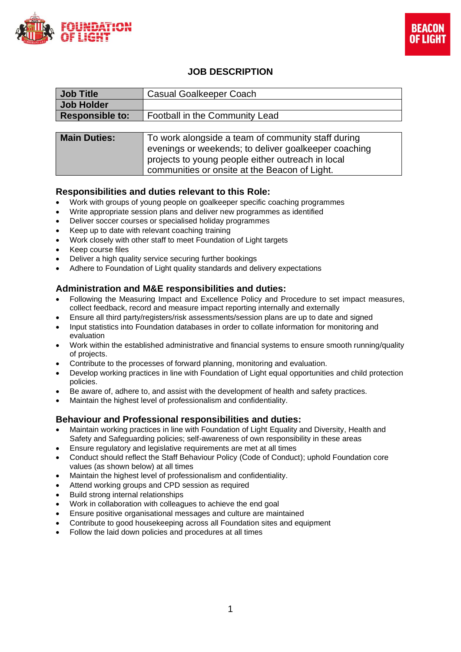



# **JOB DESCRIPTION**

| <b>Job Title</b>       | <b>Casual Goalkeeper Coach</b>                                                                                                                                  |  |
|------------------------|-----------------------------------------------------------------------------------------------------------------------------------------------------------------|--|
| <b>Job Holder</b>      |                                                                                                                                                                 |  |
| <b>Responsible to:</b> | Football in the Community Lead                                                                                                                                  |  |
|                        |                                                                                                                                                                 |  |
| <b>Main Duties:</b>    | To work alongside a team of community staff during<br>evenings or weekends; to deliver goalkeeper coaching<br>projects to young people either outreach in local |  |
|                        | communities or onsite at the Beacon of Light.                                                                                                                   |  |

### **Responsibilities and duties relevant to this Role:**

- Work with groups of young people on goalkeeper specific coaching programmes
- Write appropriate session plans and deliver new programmes as identified
- Deliver soccer courses or specialised holiday programmes
- Keep up to date with relevant coaching training
- Work closely with other staff to meet Foundation of Light targets
- Keep course files
- Deliver a high quality service securing further bookings
- Adhere to Foundation of Light quality standards and delivery expectations

### **Administration and M&E responsibilities and duties:**

- Following the Measuring Impact and Excellence Policy and Procedure to set impact measures, collect feedback, record and measure impact reporting internally and externally
- Ensure all third party/registers/risk assessments/session plans are up to date and signed
- Input statistics into Foundation databases in order to collate information for monitoring and evaluation
- Work within the established administrative and financial systems to ensure smooth running/quality of projects.
- Contribute to the processes of forward planning, monitoring and evaluation.
- Develop working practices in line with Foundation of Light equal opportunities and child protection policies.
- Be aware of, adhere to, and assist with the development of health and safety practices.
- Maintain the highest level of professionalism and confidentiality.

### **Behaviour and Professional responsibilities and duties:**

- Maintain working practices in line with Foundation of Light Equality and Diversity, Health and Safety and Safeguarding policies; self-awareness of own responsibility in these areas
- Ensure regulatory and legislative requirements are met at all times
- Conduct should reflect the Staff Behaviour Policy (Code of Conduct); uphold Foundation core values (as shown below) at all times
- Maintain the highest level of professionalism and confidentiality.
- Attend working groups and CPD session as required
- Build strong internal relationships
- Work in collaboration with colleagues to achieve the end goal
- Ensure positive organisational messages and culture are maintained
- Contribute to good housekeeping across all Foundation sites and equipment
- Follow the laid down policies and procedures at all times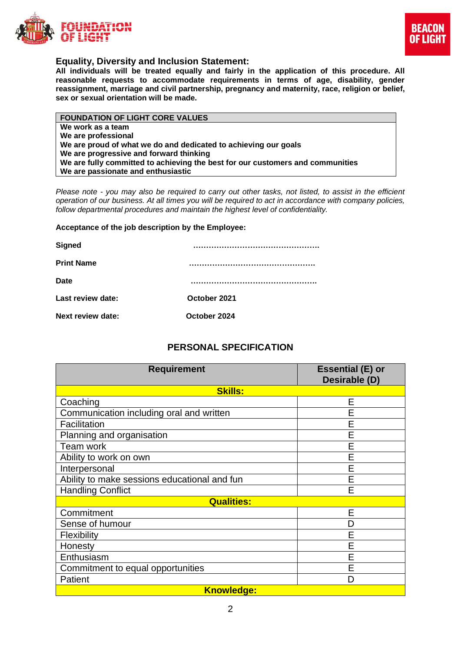



### **Equality, Diversity and Inclusion Statement:**

**All individuals will be treated equally and fairly in the application of this procedure. All reasonable requests to accommodate requirements in terms of age, disability, gender reassignment, marriage and civil partnership, pregnancy and maternity, race, religion or belief, sex or sexual orientation will be made.**

| <b>FOUNDATION OF LIGHT CORE VALUES</b>                                         |  |  |
|--------------------------------------------------------------------------------|--|--|
| We work as a team                                                              |  |  |
| We are professional                                                            |  |  |
| We are proud of what we do and dedicated to achieving our goals                |  |  |
| We are progressive and forward thinking                                        |  |  |
| We are fully committed to achieving the best for our customers and communities |  |  |
| We are passionate and enthusiastic                                             |  |  |

*Please note - you may also be required to carry out other tasks, not listed, to assist in the efficient operation of our business. At all times you will be required to act in accordance with company policies, follow departmental procedures and maintain the highest level of confidentiality.*

#### **Acceptance of the job description by the Employee:**

| <b>Signed</b>     |              |
|-------------------|--------------|
| <b>Print Name</b> |              |
| Date              |              |
| Last review date: | October 2021 |
| Next review date: | October 2024 |
|                   |              |

# **PERSONAL SPECIFICATION**

| <b>Requirement</b>                           | <b>Essential (E) or</b><br>Desirable (D) |  |  |  |
|----------------------------------------------|------------------------------------------|--|--|--|
| <b>Skills:</b>                               |                                          |  |  |  |
| Coaching                                     | E                                        |  |  |  |
| Communication including oral and written     | E                                        |  |  |  |
| Facilitation                                 | E                                        |  |  |  |
| Planning and organisation                    | E                                        |  |  |  |
| Team work                                    | E                                        |  |  |  |
| Ability to work on own                       | E                                        |  |  |  |
| Interpersonal                                | E                                        |  |  |  |
| Ability to make sessions educational and fun | E                                        |  |  |  |
| <b>Handling Conflict</b>                     | F                                        |  |  |  |
| <b>Qualities:</b>                            |                                          |  |  |  |
| Commitment                                   | E                                        |  |  |  |
| Sense of humour                              | D                                        |  |  |  |
| <b>Flexibility</b>                           | E                                        |  |  |  |
| Honesty                                      | E                                        |  |  |  |
| Enthusiasm                                   | E                                        |  |  |  |
| Commitment to equal opportunities            | E                                        |  |  |  |
| Patient                                      | D                                        |  |  |  |
| <b>Knowledge:</b>                            |                                          |  |  |  |